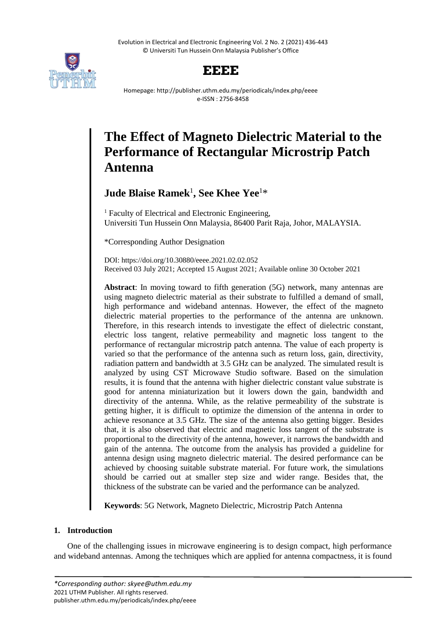Evolution in Electrical and Electronic Engineering Vol. 2 No. 2 (2021) 436-443 © Universiti Tun Hussein Onn Malaysia Publisher's Office



## **EEEE**

Homepage: http://publisher.uthm.edu.my/periodicals/index.php/eeee e-ISSN : 2756-8458

# **The Effect of Magneto Dielectric Material to the Performance of Rectangular Microstrip Patch Antenna**

**Jude Blaise Ramek**<sup>1</sup> **, See Khee Yee**<sup>1</sup>\*

<sup>1</sup> Faculty of Electrical and Electronic Engineering, Universiti Tun Hussein Onn Malaysia, 86400 Parit Raja, Johor, MALAYSIA.

\*Corresponding Author Designation

DOI: https://doi.org/10.30880/eeee.2021.02.02.052 Received 03 July 2021; Accepted 15 August 2021; Available online 30 October 2021

**Abstract**: In moving toward to fifth generation (5G) network, many antennas are using magneto dielectric material as their substrate to fulfilled a demand of small, high performance and wideband antennas. However, the effect of the magneto dielectric material properties to the performance of the antenna are unknown. Therefore, in this research intends to investigate the effect of dielectric constant, electric loss tangent, relative permeability and magnetic loss tangent to the performance of rectangular microstrip patch antenna. The value of each property is varied so that the performance of the antenna such as return loss, gain, directivity, radiation pattern and bandwidth at 3.5 GHz can be analyzed. The simulated result is analyzed by using CST Microwave Studio software. Based on the simulation results, it is found that the antenna with higher dielectric constant value substrate is good for antenna miniaturization but it lowers down the gain, bandwidth and directivity of the antenna. While, as the relative permeability of the substrate is getting higher, it is difficult to optimize the dimension of the antenna in order to achieve resonance at 3.5 GHz. The size of the antenna also getting bigger. Besides that, it is also observed that electric and magnetic loss tangent of the substrate is proportional to the directivity of the antenna, however, it narrows the bandwidth and gain of the antenna. The outcome from the analysis has provided a guideline for antenna design using magneto dielectric material. The desired performance can be achieved by choosing suitable substrate material. For future work, the simulations should be carried out at smaller step size and wider range. Besides that, the thickness of the substrate can be varied and the performance can be analyzed.

**Keywords**: 5G Network, Magneto Dielectric, Microstrip Patch Antenna

### **1. Introduction**

One of the challenging issues in microwave engineering is to design compact, high performance and wideband antennas. Among the techniques which are applied for antenna compactness, it is found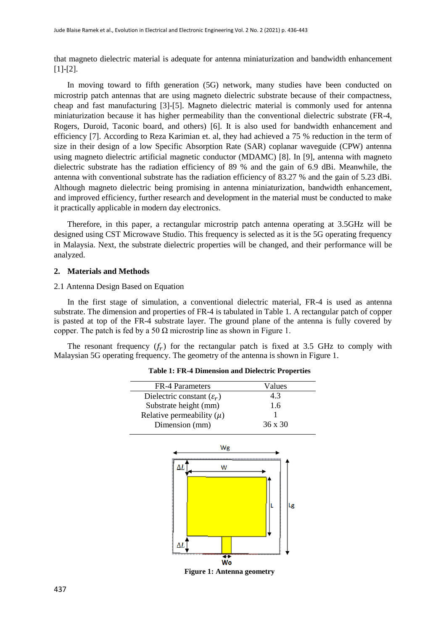that magneto dielectric material is adequate for antenna miniaturization and bandwidth enhancement [1]-[2].

In moving toward to fifth generation (5G) network, many studies have been conducted on microstrip patch antennas that are using magneto dielectric substrate because of their compactness, cheap and fast manufacturing [3]-[5]. Magneto dielectric material is commonly used for antenna miniaturization because it has higher permeability than the conventional dielectric substrate (FR-4, Rogers, Duroid, Taconic board, and others) [6]. It is also used for bandwidth enhancement and efficiency [7]. According to Reza Karimian et. al, they had achieved a 75 % reduction in the term of size in their design of a low Specific Absorption Rate (SAR) coplanar waveguide (CPW) antenna using magneto dielectric artificial magnetic conductor (MDAMC) [8]. In [9], antenna with magneto dielectric substrate has the radiation efficiency of 89 % and the gain of 6.9 dBi. Meanwhile, the antenna with conventional substrate has the radiation efficiency of 83.27 % and the gain of 5.23 dBi. Although magneto dielectric being promising in antenna miniaturization, bandwidth enhancement, and improved efficiency, further research and development in the material must be conducted to make it practically applicable in modern day electronics.

Therefore, in this paper, a rectangular microstrip patch antenna operating at 3.5GHz will be designed using CST Microwave Studio. This frequency is selected as it is the 5G operating frequency in Malaysia. Next, the substrate dielectric properties will be changed, and their performance will be analyzed.

#### **2. Materials and Methods**

#### 2.1 Antenna Design Based on Equation

i.

In the first stage of simulation, a conventional dielectric material, FR-4 is used as antenna substrate. The dimension and properties of FR-4 is tabulated in Table 1. A rectangular patch of copper is pasted at top of the FR-4 substrate layer. The ground plane of the antenna is fully covered by copper. The patch is fed by a 50  $\Omega$  microstrip line as shown in Figure 1.

The resonant frequency  $(f_r)$  for the rectangular patch is fixed at 3.5 GHz to comply with Malaysian 5G operating frequency. The geometry of the antenna is shown in Figure 1.

| Dielectric constant $(\varepsilon_r)$ | 4.3            |
|---------------------------------------|----------------|
|                                       |                |
| Substrate height (mm)                 | 1.6            |
| Relative permeability $(\mu)$         |                |
| Dimension (mm)                        | $36 \times 30$ |
| Wg                                    |                |
| ΔL<br>W<br>ΔI.<br>W                   | Lg             |

#### **Table 1: FR-4 Dimension and Dielectric Properties**

**Figure 1: Antenna geometry**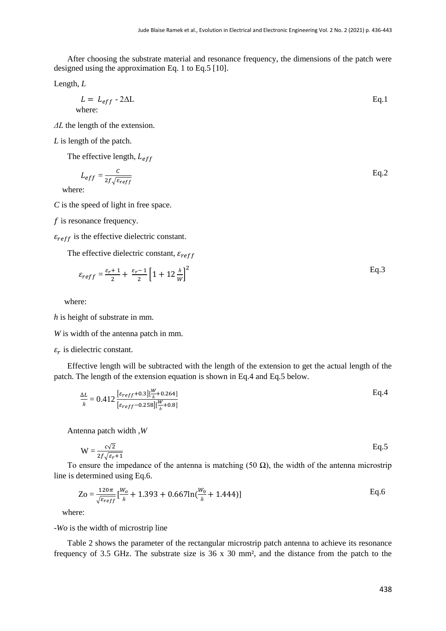After choosing the substrate material and resonance frequency, the dimensions of the patch were designed using the approximation Eq. 1 to Eq.5 [10].

Length, *L*

$$
L = L_{eff} - 2\Delta L
$$
   
where:

*ΔL* the length of the extension.

*L* is length of the patch.

The effective length,  $L_{eff}$ 

$$
L_{eff} = \frac{c}{2f\sqrt{\varepsilon_{reff}}} \tag{Eq.2}
$$

where:

*C* is the speed of light in free space.

 $f$  is resonance frequency.

 $\varepsilon_{reff}$  is the effective dielectric constant.

The effective dielectric constant,  $\varepsilon_{reff}$ 

$$
\varepsilon_{reff} = \frac{\varepsilon_r + 1}{2} + \frac{\varepsilon_r - 1}{2} \left[ 1 + 12 \frac{h}{W} \right]^2
$$
 Eq.3

where:

*h* is height of substrate in mm.

*W* is width of the antenna patch in mm.

 $\varepsilon_r$  is dielectric constant.

Effective length will be subtracted with the length of the extension to get the actual length of the patch. The length of the extension equation is shown in Eq.4 and Eq.5 below.

$$
\frac{\Delta L}{h} = 0.412 \frac{\left[\varepsilon_{reff} + 0.3\right] \left[\frac{W}{h} + 0.264\right]}{\left[\varepsilon_{reff} - 0.258\right] \left[\frac{W}{h} + 0.8\right]}
$$
 Eq. 4

Antenna patch width ,*W*

$$
W = \frac{c\sqrt{2}}{2f\sqrt{\varepsilon_r + 1}}
$$
 Eq.5

To ensure the impedance of the antenna is matching (50  $\Omega$ ), the width of the antenna microstrip line is determined using Eq.6.

$$
Zo = \frac{120\pi}{\sqrt{\varepsilon_{reff}}} \left[\frac{W_o}{h} + 1.393 + 0.667 \ln\left(\frac{W_0}{h} + 1.444\right)\right]
$$
 Eq.6

where:

-*Wo* is the width of microstrip line

Table 2 shows the parameter of the rectangular microstrip patch antenna to achieve its resonance frequency of 3.5 GHz. The substrate size is 36 x 30 mm², and the distance from the patch to the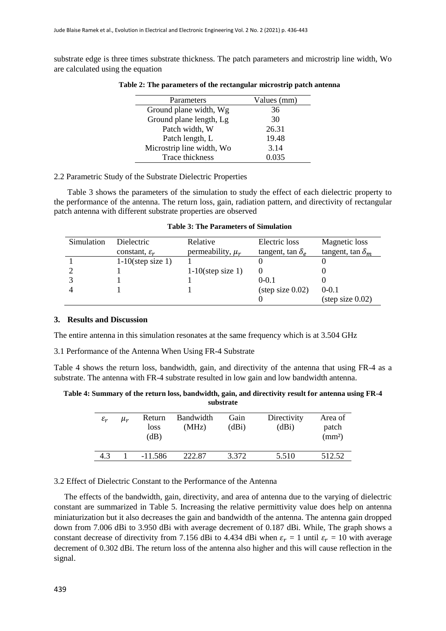substrate edge is three times substrate thickness. The patch parameters and microstrip line width, Wo are calculated using the equation

| Parameters                | Values (mm) |
|---------------------------|-------------|
| Ground plane width, Wg    | 36          |
| Ground plane length, Lg   | 30          |
| Patch width, W            | 26.31       |
| Patch length, L           | 19.48       |
| Microstrip line width, Wo | 3.14        |
| Trace thickness           | 0.035       |
|                           |             |

**Table 2: The parameters of the rectangular microstrip patch antenna**

#### 2.2 Parametric Study of the Substrate Dielectric Properties

Table 3 shows the parameters of the simulation to study the effect of each dielectric property to the performance of the antenna. The return loss, gain, radiation pattern, and directivity of rectangular patch antenna with different substrate properties are observed

|  |  | Table 3: The Parameters of Simulation |  |  |
|--|--|---------------------------------------|--|--|
|--|--|---------------------------------------|--|--|

| Simulation | <b>Dielectric</b>         | Relative              | Electric loss              | <b>Magnetic</b> loss       |
|------------|---------------------------|-----------------------|----------------------------|----------------------------|
|            | constant, $\varepsilon_r$ | permeability, $\mu_r$ | tangent, tan $\delta_e$    | tangent, tan $\delta_m$    |
|            | $1-10$ (step size 1)      |                       |                            |                            |
|            |                           | $1-10$ (step size 1)  |                            |                            |
|            |                           |                       | $0 - 0.1$                  |                            |
|            |                           |                       | $(\text{step size } 0.02)$ | $0 - 0.1$                  |
|            |                           |                       |                            | $(\text{step size } 0.02)$ |

#### **3. Results and Discussion**

The entire antenna in this simulation resonates at the same frequency which is at 3.504 GHz

3.1 Performance of the Antenna When Using FR-4 Substrate

Table 4 shows the return loss, bandwidth, gain, and directivity of the antenna that using FR-4 as a substrate. The antenna with FR-4 substrate resulted in low gain and low bandwidth antenna.

**Table 4: Summary of the return loss, bandwidth, gain, and directivity result for antenna using FR-4 substrate**

| $\varepsilon_r$ | $\mu_r$ | Return<br>loss<br>(dB) | <b>Bandwidth</b><br>(MHz) | Gain<br>(dBi) | Directivity<br>(dBi) | Area of<br>patch<br>(mm <sup>2</sup> ) |
|-----------------|---------|------------------------|---------------------------|---------------|----------------------|----------------------------------------|
| 4.3             |         | $-11.586$              | 222.87                    | 3.372         | 5.510                | 512.52                                 |

3.2 Effect of Dielectric Constant to the Performance of the Antenna

 The effects of the bandwidth, gain, directivity, and area of antenna due to the varying of dielectric constant are summarized in Table 5. Increasing the relative permittivity value does help on antenna miniaturization but it also decreases the gain and bandwidth of the antenna. The antenna gain dropped down from 7.006 dBi to 3.950 dBi with average decrement of 0.187 dBi. While, The graph shows a constant decrease of directivity from 7.156 dBi to 4.434 dBi when  $\varepsilon_r = 1$  until  $\varepsilon_r = 10$  with average decrement of 0.302 dBi. The return loss of the antenna also higher and this will cause reflection in the signal.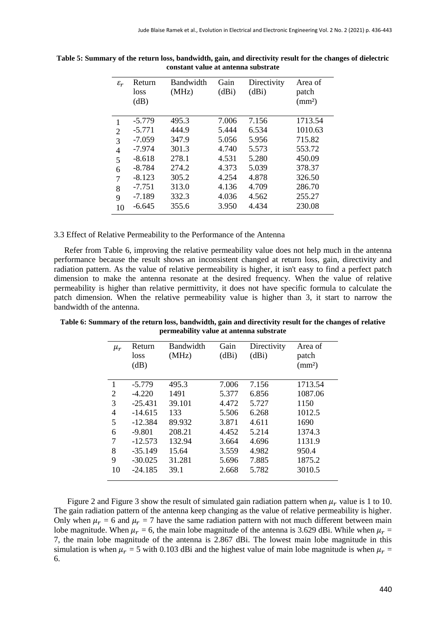| $\varepsilon_r$ | Return<br><b>loss</b><br>(dB) | Bandwidth<br>(MHz) | Gain<br>(dBi) | Directivity<br>(dBi) | Area of<br>patch<br>$\text{(mm}^2)$ |
|-----------------|-------------------------------|--------------------|---------------|----------------------|-------------------------------------|
|                 | $-5.779$                      | 495.3              | 7.006         | 7.156                | 1713.54                             |
| 2               | $-5.771$                      | 444.9              | 5.444         | 6.534                | 1010.63                             |
| 3               | $-7.059$                      | 347.9              | 5.056         | 5.956                | 715.82                              |
| 4               | $-7.974$                      | 301.3              | 4.740         | 5.573                | 553.72                              |
| 5               | $-8.618$                      | 278.1              | 4.531         | 5.280                | 450.09                              |
| 6               | $-8.784$                      | 274.2              | 4.373         | 5.039                | 378.37                              |
| 7               | $-8.123$                      | 305.2              | 4.254         | 4.878                | 326.50                              |
| 8               | $-7.751$                      | 313.0              | 4.136         | 4.709                | 286.70                              |
| 9               | $-7.189$                      | 332.3              | 4.036         | 4.562                | 255.27                              |
| 10              | $-6.645$                      | 355.6              | 3.950         | 4.434                | 230.08                              |

**Table 5: Summary of the return loss, bandwidth, gain, and directivity result for the changes of dielectric constant value at antenna substrate**

3.3 Effect of Relative Permeability to the Performance of the Antenna

 Refer from Table 6, improving the relative permeability value does not help much in the antenna performance because the result shows an inconsistent changed at return loss, gain, directivity and radiation pattern. As the value of relative permeability is higher, it isn't easy to find a perfect patch dimension to make the antenna resonate at the desired frequency. When the value of relative permeability is higher than relative permittivity, it does not have specific formula to calculate the patch dimension. When the relative permeability value is higher than 3, it start to narrow the bandwidth of the antenna.

| $\mu_r$        | Return    | Bandwidth | Gain  | Directivity | Area of            |
|----------------|-----------|-----------|-------|-------------|--------------------|
|                | loss      | (MHz)     | (dBi) | (dBi)       | patch              |
|                | (dB)      |           |       |             | (mm <sup>2</sup> ) |
|                |           |           |       |             |                    |
| 1              | $-5.779$  | 495.3     | 7.006 | 7.156       | 1713.54            |
|                |           |           |       |             |                    |
| $\overline{2}$ | $-4.220$  | 1491      | 5.377 | 6.856       | 1087.06            |
| 3              | $-25.431$ | 39.101    | 4.472 | 5.727       | 1150               |
| 4              | $-14.615$ | 133       | 5.506 | 6.268       | 1012.5             |
| 5              | $-12.384$ | 89.932    | 3.871 | 4.611       | 1690               |
| 6              | $-9.801$  | 208.21    | 4.452 | 5.214       | 1374.3             |
| 7              | $-12.573$ | 132.94    | 3.664 | 4.696       | 1131.9             |
| 8              | $-35.149$ | 15.64     | 3.559 | 4.982       | 950.4              |
| 9              | $-30.025$ | 31.281    | 5.696 | 7.885       | 1875.2             |
| 10             | $-24.185$ | 39.1      | 2.668 | 5.782       | 3010.5             |
|                |           |           |       |             |                    |

**Table 6: Summary of the return loss, bandwidth, gain and directivity result for the changes of relative permeability value at antenna substrate**

Figure 2 and Figure 3 show the result of simulated gain radiation pattern when  $\mu_r$  value is 1 to 10. The gain radiation pattern of the antenna keep changing as the value of relative permeability is higher. Only when  $\mu_r = 6$  and  $\mu_r = 7$  have the same radiation pattern with not much different between main lobe magnitude. When  $\mu_r = 6$ , the main lobe magnitude of the antenna is 3.629 dBi. While when  $\mu_r =$ 7, the main lobe magnitude of the antenna is 2.867 dBi. The lowest main lobe magnitude in this simulation is when  $\mu_r = 5$  with 0.103 dBi and the highest value of main lobe magnitude is when  $\mu_r =$ 6.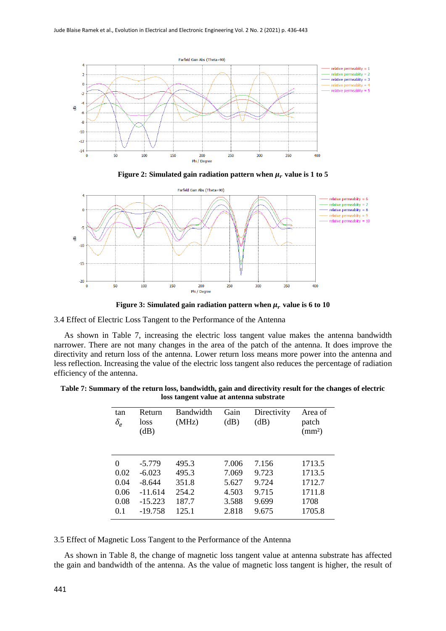





**Figure 3: Simulated gain radiation pattern when**  $\mu_r$  **value is 6 to 10** 

3.4 Effect of Electric Loss Tangent to the Performance of the Antenna

 As shown in Table 7, increasing the electric loss tangent value makes the antenna bandwidth narrower. There are not many changes in the area of the patch of the antenna. It does improve the directivity and return loss of the antenna. Lower return loss means more power into the antenna and less reflection. Increasing the value of the electric loss tangent also reduces the percentage of radiation efficiency of the antenna.

| Table 7: Summary of the return loss, bandwidth, gain and directivity result for the changes of electric |     |        | loss tangent value at antenna substrate |                                    |  |
|---------------------------------------------------------------------------------------------------------|-----|--------|-----------------------------------------|------------------------------------|--|
|                                                                                                         | tan | Return |                                         | Bandwidth Gain Directivity Area of |  |

| tan<br>$\delta_e$ | Return<br>loss<br>dB) | Bandwidth<br>(MHz) | Gain<br>(dB) | Directivity<br>dB) | Area of<br>patch<br>$\text{ (mm2)}$ |
|-------------------|-----------------------|--------------------|--------------|--------------------|-------------------------------------|
| $\Omega$          | $-5.779$              | 495.3              | 7.006        | 7.156              | 1713.5                              |
| 0.02              | $-6.023$              | 495.3              | 7.069        | 9.723              | 1713.5                              |
| 0.04              | $-8.644$              | 351.8              | 5.627        | 9.724              | 1712.7                              |
| 0.06              | $-11.614$             | 254.2              | 4.503        | 9.715              | 1711.8                              |
| 0.08              | $-15.223$             | 187.7              | 3.588        | 9.699              | 1708                                |
| 0.1               | $-19.758$             | 125.1              | 2.818        | 9.675              | 1705.8                              |

3.5 Effect of Magnetic Loss Tangent to the Performance of the Antenna

 As shown in Table 8, the change of magnetic loss tangent value at antenna substrate has affected the gain and bandwidth of the antenna. As the value of magnetic loss tangent is higher, the result of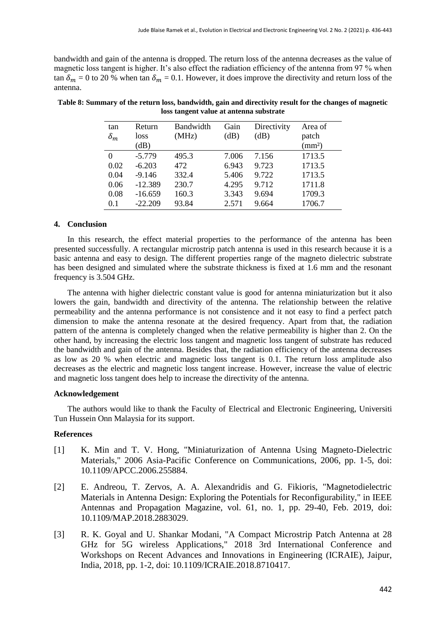bandwidth and gain of the antenna is dropped. The return loss of the antenna decreases as the value of magnetic loss tangent is higher. It's also effect the radiation efficiency of the antenna from 97 % when tan  $\delta_m = 0$  to 20 % when tan  $\delta_m = 0.1$ . However, it does improve the directivity and return loss of the antenna.

| tan<br>$\delta_m$ | Return<br>loss<br>(dB) | Bandwidth<br>(MHz) | Gain<br>(dB) | Directivity<br>(dB) | Area of<br>patch<br>(mm <sup>2</sup> ) |
|-------------------|------------------------|--------------------|--------------|---------------------|----------------------------------------|
| $\theta$          | $-5.779$               | 495.3              | 7.006        | 7.156               | 1713.5                                 |
| 0.02              | $-6.203$               | 472                | 6.943        | 9.723               | 1713.5                                 |
| 0.04              | $-9.146$               | 332.4              | 5.406        | 9.722               | 1713.5                                 |
| 0.06              | $-12.389$              | 230.7              | 4.295        | 9.712               | 1711.8                                 |
| 0.08              | $-16.659$              | 160.3              | 3.343        | 9.694               | 1709.3                                 |
| 0.1               | $-22.209$              | 93.84              | 2.571        | 9.664               | 1706.7                                 |

| Table 8: Summary of the return loss, bandwidth, gain and directivity result for the changes of magnetic |
|---------------------------------------------------------------------------------------------------------|
| loss tangent value at antenna substrate                                                                 |

#### **4. Conclusion**

In this research, the effect material properties to the performance of the antenna has been presented successfully. A rectangular microstrip patch antenna is used in this research because it is a basic antenna and easy to design. The different properties range of the magneto dielectric substrate has been designed and simulated where the substrate thickness is fixed at 1.6 mm and the resonant frequency is 3.504 GHz.

The antenna with higher dielectric constant value is good for antenna miniaturization but it also lowers the gain, bandwidth and directivity of the antenna. The relationship between the relative permeability and the antenna performance is not consistence and it not easy to find a perfect patch dimension to make the antenna resonate at the desired frequency. Apart from that, the radiation pattern of the antenna is completely changed when the relative permeability is higher than 2. On the other hand, by increasing the electric loss tangent and magnetic loss tangent of substrate has reduced the bandwidth and gain of the antenna. Besides that, the radiation efficiency of the antenna decreases as low as 20 % when electric and magnetic loss tangent is 0.1. The return loss amplitude also decreases as the electric and magnetic loss tangent increase. However, increase the value of electric and magnetic loss tangent does help to increase the directivity of the antenna.

#### **Acknowledgement**

The authors would like to thank the Faculty of Electrical and Electronic Engineering, Universiti Tun Hussein Onn Malaysia for its support.

#### **References**

- [1] K. Min and T. V. Hong, "Miniaturization of Antenna Using Magneto-Dielectric Materials," 2006 Asia-Pacific Conference on Communications, 2006, pp. 1-5, doi: 10.1109/APCC.2006.255884.
- [2] E. Andreou, T. Zervos, A. A. Alexandridis and G. Fikioris, "Magnetodielectric Materials in Antenna Design: Exploring the Potentials for Reconfigurability," in IEEE Antennas and Propagation Magazine, vol. 61, no. 1, pp. 29-40, Feb. 2019, doi: 10.1109/MAP.2018.2883029.
- [3] R. K. Goyal and U. Shankar Modani, "A Compact Microstrip Patch Antenna at 28 GHz for 5G wireless Applications," 2018 3rd International Conference and Workshops on Recent Advances and Innovations in Engineering (ICRAIE), Jaipur, India, 2018, pp. 1-2, doi: 10.1109/ICRAIE.2018.8710417.